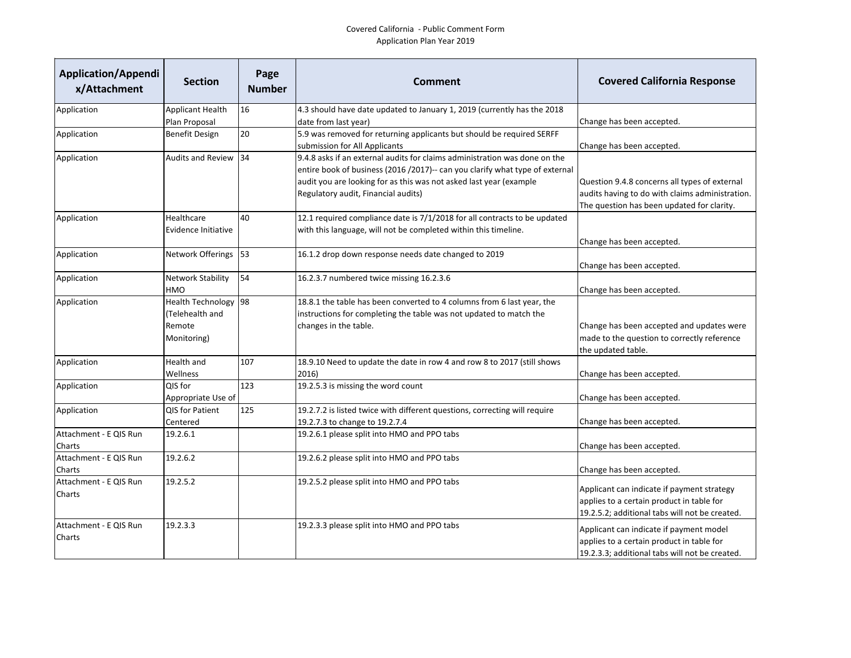## Covered California - Public Comment Form Application Plan Year 2019

| <b>Application/Appendi</b><br>x/Attachment | <b>Section</b>                                                   | Page<br><b>Number</b> | Comment                                                                                                                                                                                                                                                                 | <b>Covered California Response</b>                                                                                                             |
|--------------------------------------------|------------------------------------------------------------------|-----------------------|-------------------------------------------------------------------------------------------------------------------------------------------------------------------------------------------------------------------------------------------------------------------------|------------------------------------------------------------------------------------------------------------------------------------------------|
| Application                                | <b>Applicant Health</b>                                          | 16                    | 4.3 should have date updated to January 1, 2019 (currently has the 2018                                                                                                                                                                                                 |                                                                                                                                                |
|                                            | Plan Proposal                                                    |                       | date from last year)                                                                                                                                                                                                                                                    | Change has been accepted.                                                                                                                      |
| Application                                | <b>Benefit Design</b>                                            | 20                    | 5.9 was removed for returning applicants but should be required SERFF<br>submission for All Applicants                                                                                                                                                                  | Change has been accepted.                                                                                                                      |
| Application                                | <b>Audits and Review</b>                                         | 34                    | 9.4.8 asks if an external audits for claims administration was done on the<br>entire book of business (2016 /2017)-- can you clarify what type of external<br>audit you are looking for as this was not asked last year (example<br>Regulatory audit, Financial audits) | Question 9.4.8 concerns all types of external<br>audits having to do with claims administration.<br>The question has been updated for clarity. |
| Application                                | Healthcare<br>Evidence Initiative                                | 40                    | 12.1 required compliance date is 7/1/2018 for all contracts to be updated<br>with this language, will not be completed within this timeline.                                                                                                                            | Change has been accepted.                                                                                                                      |
| Application                                | Network Offerings                                                | 53                    | 16.1.2 drop down response needs date changed to 2019                                                                                                                                                                                                                    | Change has been accepted.                                                                                                                      |
| Application                                | <b>Network Stability</b><br>HMO                                  | 54                    | 16.2.3.7 numbered twice missing 16.2.3.6                                                                                                                                                                                                                                | Change has been accepted.                                                                                                                      |
| Application                                | Health Technology 98<br>(Telehealth and<br>Remote<br>Monitoring) |                       | 18.8.1 the table has been converted to 4 columns from 6 last year, the<br>instructions for completing the table was not updated to match the<br>changes in the table.                                                                                                   | Change has been accepted and updates were<br>made to the question to correctly reference<br>the updated table.                                 |
| Application                                | Health and<br>Wellness                                           | 107                   | 18.9.10 Need to update the date in row 4 and row 8 to 2017 (still shows<br>2016)                                                                                                                                                                                        | Change has been accepted.                                                                                                                      |
| Application                                | QIS for<br>Appropriate Use of                                    | 123                   | 19.2.5.3 is missing the word count                                                                                                                                                                                                                                      | Change has been accepted.                                                                                                                      |
| Application                                | QIS for Patient<br>Centered                                      | 125                   | 19.2.7.2 is listed twice with different questions, correcting will require<br>19.2.7.3 to change to 19.2.7.4                                                                                                                                                            | Change has been accepted.                                                                                                                      |
| Attachment - E QIS Run<br>Charts           | 19.2.6.1                                                         |                       | 19.2.6.1 please split into HMO and PPO tabs                                                                                                                                                                                                                             | Change has been accepted.                                                                                                                      |
| Attachment - E QIS Run<br>Charts           | 19.2.6.2                                                         |                       | 19.2.6.2 please split into HMO and PPO tabs                                                                                                                                                                                                                             | Change has been accepted.                                                                                                                      |
| Attachment - E QIS Run<br>Charts           | 19.2.5.2                                                         |                       | 19.2.5.2 please split into HMO and PPO tabs                                                                                                                                                                                                                             | Applicant can indicate if payment strategy<br>applies to a certain product in table for<br>19.2.5.2; additional tabs will not be created.      |
| Attachment - E QIS Run<br>Charts           | 19.2.3.3                                                         |                       | 19.2.3.3 please split into HMO and PPO tabs                                                                                                                                                                                                                             | Applicant can indicate if payment model<br>applies to a certain product in table for<br>19.2.3.3; additional tabs will not be created.         |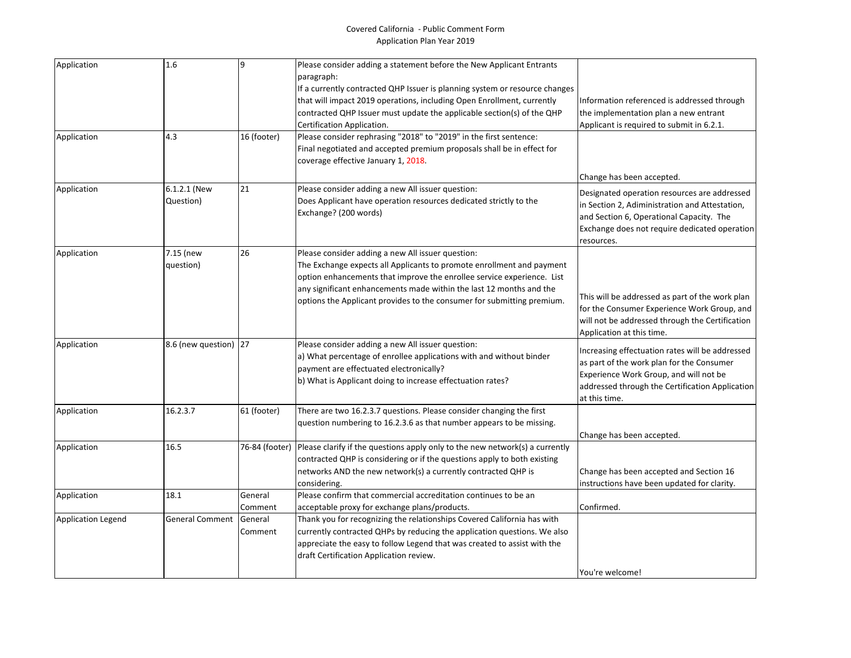## Covered California - Public Comment Form Application Plan Year 2019

| Application               | 1.6                    | $\overline{9}$ | Please consider adding a statement before the New Applicant Entrants         |                                                 |
|---------------------------|------------------------|----------------|------------------------------------------------------------------------------|-------------------------------------------------|
|                           |                        |                | paragraph:                                                                   |                                                 |
|                           |                        |                | If a currently contracted QHP Issuer is planning system or resource changes  |                                                 |
|                           |                        |                | that will impact 2019 operations, including Open Enrollment, currently       | Information referenced is addressed through     |
|                           |                        |                | contracted QHP Issuer must update the applicable section(s) of the QHP       | the implementation plan a new entrant           |
|                           |                        |                | Certification Application.                                                   | Applicant is required to submit in 6.2.1.       |
| Application               | 4.3                    | 16 (footer)    | Please consider rephrasing "2018" to "2019" in the first sentence:           |                                                 |
|                           |                        |                | Final negotiated and accepted premium proposals shall be in effect for       |                                                 |
|                           |                        |                | coverage effective January 1, 2018.                                          |                                                 |
|                           |                        |                |                                                                              | Change has been accepted.                       |
| Application               | 6.1.2.1 (New           | 21             | Please consider adding a new All issuer question:                            | Designated operation resources are addressed    |
|                           | Question)              |                | Does Applicant have operation resources dedicated strictly to the            | in Section 2, Adiministration and Attestation,  |
|                           |                        |                | Exchange? (200 words)                                                        | and Section 6, Operational Capacity. The        |
|                           |                        |                |                                                                              | Exchange does not require dedicated operation   |
|                           |                        |                |                                                                              | resources.                                      |
| Application               | 7.15 (new              | 26             | Please consider adding a new All issuer question:                            |                                                 |
|                           | question)              |                | The Exchange expects all Applicants to promote enrollment and payment        |                                                 |
|                           |                        |                | option enhancements that improve the enrollee service experience. List       |                                                 |
|                           |                        |                | any significant enhancements made within the last 12 months and the          |                                                 |
|                           |                        |                | options the Applicant provides to the consumer for submitting premium.       | This will be addressed as part of the work plan |
|                           |                        |                |                                                                              | for the Consumer Experience Work Group, and     |
|                           |                        |                |                                                                              | will not be addressed through the Certification |
|                           |                        |                |                                                                              | Application at this time.                       |
| Application               | 8.6 (new question) 27  |                | Please consider adding a new All issuer question:                            | Increasing effectuation rates will be addressed |
|                           |                        |                | a) What percentage of enrollee applications with and without binder          | as part of the work plan for the Consumer       |
|                           |                        |                | payment are effectuated electronically?                                      | Experience Work Group, and will not be          |
|                           |                        |                | b) What is Applicant doing to increase effectuation rates?                   | addressed through the Certification Application |
|                           |                        |                |                                                                              | at this time.                                   |
| Application               | 16.2.3.7               | 61 (footer)    | There are two 16.2.3.7 questions. Please consider changing the first         |                                                 |
|                           |                        |                | question numbering to 16.2.3.6 as that number appears to be missing.         |                                                 |
|                           |                        |                |                                                                              | Change has been accepted.                       |
| Application               | 16.5                   | 76-84 (footer) | Please clarify if the questions apply only to the new network(s) a currently |                                                 |
|                           |                        |                | contracted QHP is considering or if the questions apply to both existing     |                                                 |
|                           |                        |                | networks AND the new network(s) a currently contracted QHP is                | Change has been accepted and Section 16         |
|                           |                        |                | considering.                                                                 | instructions have been updated for clarity.     |
| Application               | 18.1                   | General        | Please confirm that commercial accreditation continues to be an              |                                                 |
|                           |                        | Comment        | acceptable proxy for exchange plans/products.                                | Confirmed.                                      |
| <b>Application Legend</b> | <b>General Comment</b> | General        | Thank you for recognizing the relationships Covered California has with      |                                                 |
|                           |                        | Comment        | currently contracted QHPs by reducing the application questions. We also     |                                                 |
|                           |                        |                | appreciate the easy to follow Legend that was created to assist with the     |                                                 |
|                           |                        |                | draft Certification Application review.                                      |                                                 |
|                           |                        |                |                                                                              | You're welcome!                                 |
|                           |                        |                |                                                                              |                                                 |